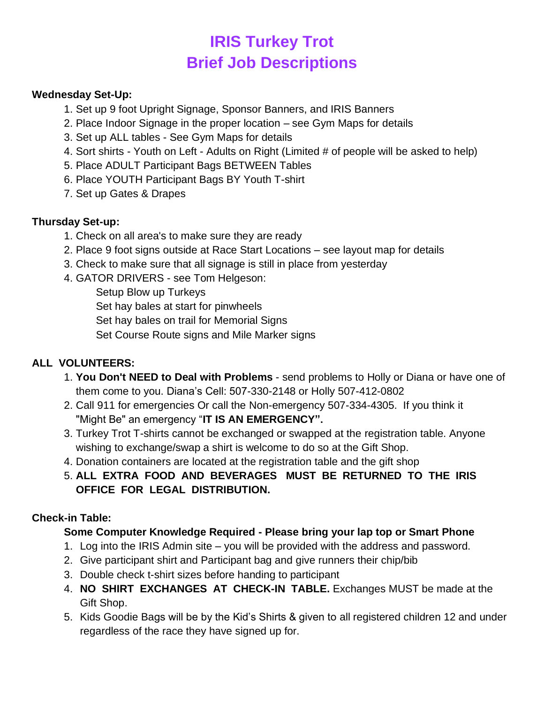# **IRIS Turkey Trot Brief Job Descriptions**

#### **Wednesday Set-Up:**

- 1. Set up 9 foot Upright Signage, Sponsor Banners, and IRIS Banners
- 2. Place Indoor Signage in the proper location see Gym Maps for details
- 3. Set up ALL tables See Gym Maps for details
- 4. Sort shirts Youth on Left Adults on Right (Limited # of people will be asked to help)
- 5. Place ADULT Participant Bags BETWEEN Tables
- 6. Place YOUTH Participant Bags BY Youth T-shirt
- 7. Set up Gates & Drapes

#### **Thursday Set-up:**

- 1. Check on all area's to make sure they are ready
- 2. Place 9 foot signs outside at Race Start Locations see layout map for details
- 3. Check to make sure that all signage is still in place from yesterday
- 4. GATOR DRIVERS see Tom Helgeson:

Setup Blow up Turkeys Set hay bales at start for pinwheels Set hay bales on trail for Memorial Signs Set Course Route signs and Mile Marker signs

#### **ALL VOLUNTEERS:**

- 1. **You Don't NEED to Deal with Problems** send problems to Holly or Diana or have one of them come to you. Diana's Cell: 507-330-2148 or Holly 507-412-0802
- 2. Call 911 for emergencies Or call the Non-emergency 507-334-4305. If you think it "Might Be" an emergency "**IT IS AN EMERGENCY".**
- 3. Turkey Trot T-shirts cannot be exchanged or swapped at the registration table. Anyone wishing to exchange/swap a shirt is welcome to do so at the Gift Shop.
- 4. Donation containers are located at the registration table and the gift shop
- 5. **ALL EXTRA FOOD AND BEVERAGES MUST BE RETURNED TO THE IRIS OFFICE FOR LEGAL DISTRIBUTION.**

#### **Check-in Table:**

#### **Some Computer Knowledge Required - Please bring your lap top or Smart Phone**

- 1. Log into the IRIS Admin site you will be provided with the address and password.
- 2. Give participant shirt and Participant bag and give runners their chip/bib
- 3. Double check t-shirt sizes before handing to participant
- 4. **NO SHIRT EXCHANGES AT CHECK-IN TABLE.** Exchanges MUST be made at the Gift Shop.
- 5. Kids Goodie Bags will be by the Kid's Shirts & given to all registered children 12 and under regardless of the race they have signed up for.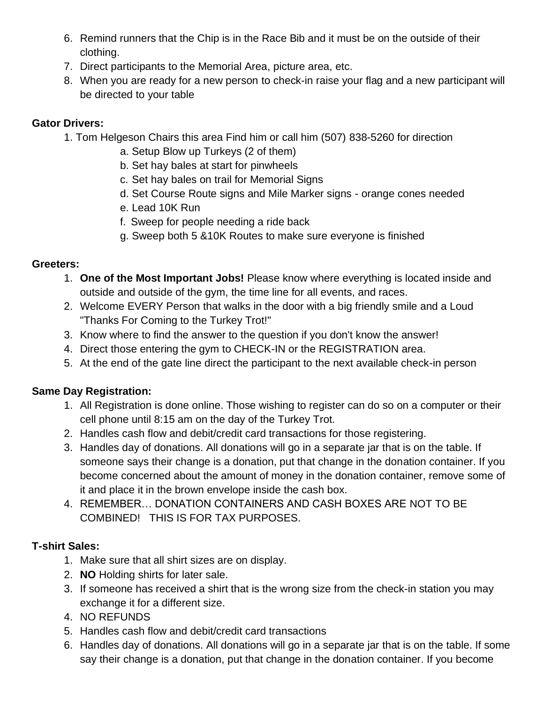- 6. Remind runners that the Chip is in the Race Bib and it must be on the outside of their clothing.
- 7. Direct participants to the Memorial Area, picture area, etc.
- 8. When you are ready for a new person to check-in raise your flag and a new participant will be directed to your table

## **Gator Drivers:**

- 1. Tom Helgeson Chairs this area Find him or call him (507) 838-5260 for direction
	- a. Setup Blow up Turkeys (2 of them)
	- b. Set hay bales at start for pinwheels
	- c. Set hay bales on trail for Memorial Signs
	- d. Set Course Route signs and Mile Marker signs orange cones needed
	- e. Lead 10K Run
	- f. Sweep for people needing a ride back
	- g. Sweep both 5 &10K Routes to make sure everyone is finished

### **Greeters:**

- 1. **One of the Most Important Jobs!** Please know where everything is located inside and outside and outside of the gym, the time line for all events, and races.
- 2. Welcome EVERY Person that walks in the door with a big friendly smile and a Loud "Thanks For Coming to the Turkey Trot!"
- 3. Know where to find the answer to the question if you don't know the answer!
- 4. Direct those entering the gym to CHECK-IN or the REGISTRATION area.
- 5. At the end of the gate line direct the participant to the next available check-in person

# **Same Day Registration:**

- 1. All Registration is done online. Those wishing to register can do so on a computer or their cell phone until 8:15 am on the day of the Turkey Trot.
- 2. Handles cash flow and debit/credit card transactions for those registering.
- 3. Handles day of donations. All donations will go in a separate jar that is on the table. If someone says their change is a donation, put that change in the donation container. If you become concerned about the amount of money in the donation container, remove some of it and place it in the brown envelope inside the cash box.
- 4. REMEMBER… DONATION CONTAINERS AND CASH BOXES ARE NOT TO BE COMBINED! THIS IS FOR TAX PURPOSES.

# **T-shirt Sales:**

- 1. Make sure that all shirt sizes are on display.
- 2. **NO** Holding shirts for later sale.
- 3. If someone has received a shirt that is the wrong size from the check-in station you may exchange it for a different size.
- 4. NO REFUNDS
- 5. Handles cash flow and debit/credit card transactions
- 6. Handles day of donations. All donations will go in a separate jar that is on the table. If some say their change is a donation, put that change in the donation container. If you become